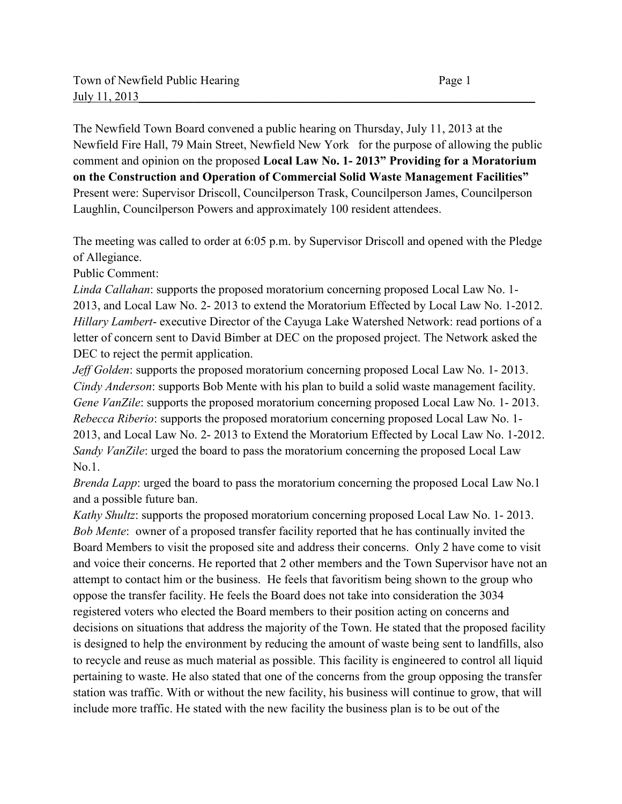The Newfield Town Board convened a public hearing on Thursday, July 11, 2013 at the Newfield Fire Hall, 79 Main Street, Newfield New York for the purpose of allowing the public comment and opinion on the proposed **Local Law No. 1- 2013" Providing for a Moratorium on the Construction and Operation of Commercial Solid Waste Management Facilities"** Present were: Supervisor Driscoll, Councilperson Trask, Councilperson James, Councilperson Laughlin, Councilperson Powers and approximately 100 resident attendees.

The meeting was called to order at 6:05 p.m. by Supervisor Driscoll and opened with the Pledge of Allegiance.

Public Comment:

*Linda Callahan*: supports the proposed moratorium concerning proposed Local Law No. 1- 2013, and Local Law No. 2- 2013 to extend the Moratorium Effected by Local Law No. 1-2012. *Hillary Lambert*- executive Director of the Cayuga Lake Watershed Network: read portions of a letter of concern sent to David Bimber at DEC on the proposed project. The Network asked the DEC to reject the permit application.

*Jeff Golden*: supports the proposed moratorium concerning proposed Local Law No. 1- 2013. *Cindy Anderson*: supports Bob Mente with his plan to build a solid waste management facility. *Gene VanZile*: supports the proposed moratorium concerning proposed Local Law No. 1-2013. *Rebecca Riberio*: supports the proposed moratorium concerning proposed Local Law No. 1- 2013, and Local Law No. 2- 2013 to Extend the Moratorium Effected by Local Law No. 1-2012. *Sandy VanZile*: urged the board to pass the moratorium concerning the proposed Local Law No.1.

*Brenda Lapp*: urged the board to pass the moratorium concerning the proposed Local Law No.1 and a possible future ban.

*Kathy Shultz*: supports the proposed moratorium concerning proposed Local Law No. 1- 2013. *Bob Mente*: owner of a proposed transfer facility reported that he has continually invited the Board Members to visit the proposed site and address their concerns. Only 2 have come to visit and voice their concerns. He reported that 2 other members and the Town Supervisor have not an attempt to contact him or the business. He feels that favoritism being shown to the group who oppose the transfer facility. He feels the Board does not take into consideration the 3034 registered voters who elected the Board members to their position acting on concerns and decisions on situations that address the majority of the Town. He stated that the proposed facility is designed to help the environment by reducing the amount of waste being sent to landfills, also to recycle and reuse as much material as possible. This facility is engineered to control all liquid pertaining to waste. He also stated that one of the concerns from the group opposing the transfer station was traffic. With or without the new facility, his business will continue to grow, that will include more traffic. He stated with the new facility the business plan is to be out of the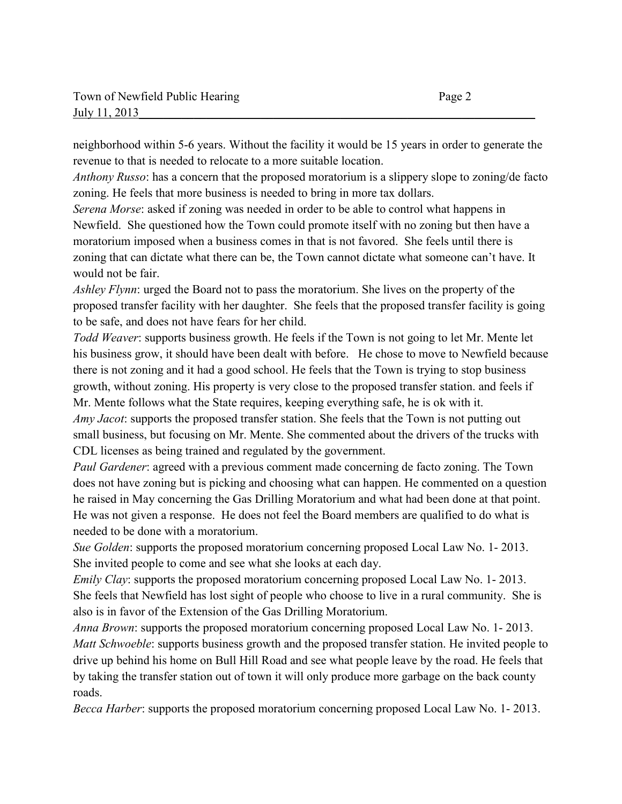neighborhood within 5-6 years. Without the facility it would be 15 years in order to generate the revenue to that is needed to relocate to a more suitable location.

*Anthony Russo*: has a concern that the proposed moratorium is a slippery slope to zoning/de facto zoning. He feels that more business is needed to bring in more tax dollars.

*Serena Morse*: asked if zoning was needed in order to be able to control what happens in Newfield. She questioned how the Town could promote itself with no zoning but then have a moratorium imposed when a business comes in that is not favored. She feels until there is zoning that can dictate what there can be, the Town cannot dictate what someone can't have. It would not be fair.

*Ashley Flynn*: urged the Board not to pass the moratorium. She lives on the property of the proposed transfer facility with her daughter. She feels that the proposed transfer facility is going to be safe, and does not have fears for her child.

*Todd Weaver*: supports business growth. He feels if the Town is not going to let Mr. Mente let his business grow, it should have been dealt with before. He chose to move to Newfield because there is not zoning and it had a good school. He feels that the Town is trying to stop business growth, without zoning. His property is very close to the proposed transfer station. and feels if Mr. Mente follows what the State requires, keeping everything safe, he is ok with it.

*Amy Jacot*: supports the proposed transfer station. She feels that the Town is not putting out small business, but focusing on Mr. Mente. She commented about the drivers of the trucks with CDL licenses as being trained and regulated by the government.

*Paul Gardener*: agreed with a previous comment made concerning de facto zoning. The Town does not have zoning but is picking and choosing what can happen. He commented on a question he raised in May concerning the Gas Drilling Moratorium and what had been done at that point. He was not given a response. He does not feel the Board members are qualified to do what is needed to be done with a moratorium.

*Sue Golden*: supports the proposed moratorium concerning proposed Local Law No. 1- 2013. She invited people to come and see what she looks at each day.

*Emily Clay*: supports the proposed moratorium concerning proposed Local Law No. 1-2013. She feels that Newfield has lost sight of people who choose to live in a rural community. She is also is in favor of the Extension of the Gas Drilling Moratorium.

*Anna Brown*: supports the proposed moratorium concerning proposed Local Law No. 1- 2013. *Matt Schwoeble*: supports business growth and the proposed transfer station. He invited people to drive up behind his home on Bull Hill Road and see what people leave by the road. He feels that by taking the transfer station out of town it will only produce more garbage on the back county roads.

*Becca Harber*: supports the proposed moratorium concerning proposed Local Law No. 1- 2013.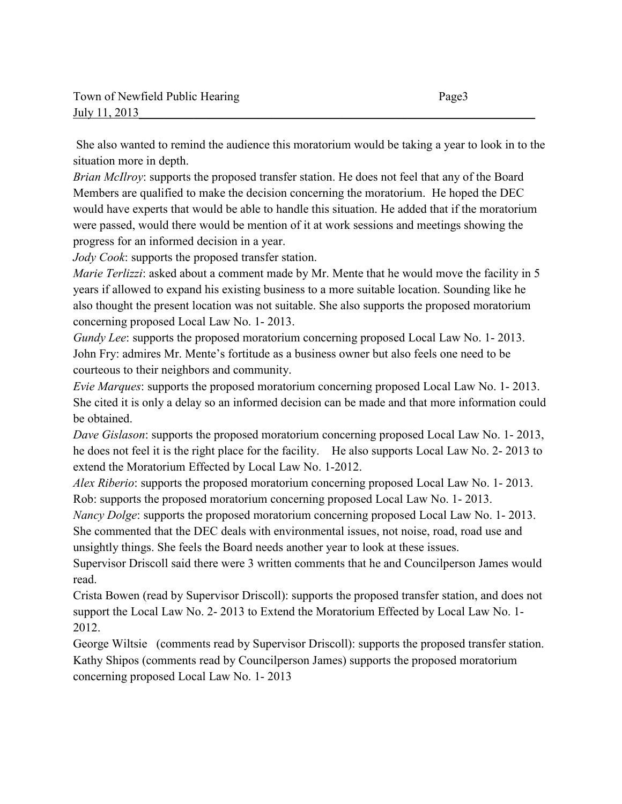She also wanted to remind the audience this moratorium would be taking a year to look in to the situation more in depth.

*Brian McIlroy*: supports the proposed transfer station. He does not feel that any of the Board Members are qualified to make the decision concerning the moratorium. He hoped the DEC would have experts that would be able to handle this situation. He added that if the moratorium were passed, would there would be mention of it at work sessions and meetings showing the progress for an informed decision in a year.

*Jody Cook*: supports the proposed transfer station.

*Marie Terlizzi*: asked about a comment made by Mr. Mente that he would move the facility in 5 years if allowed to expand his existing business to a more suitable location. Sounding like he also thought the present location was not suitable. She also supports the proposed moratorium concerning proposed Local Law No. 1- 2013.

*Gundy Lee*: supports the proposed moratorium concerning proposed Local Law No. 1-2013. John Fry: admires Mr. Mente's fortitude as a business owner but also feels one need to be courteous to their neighbors and community.

*Evie Marques*: supports the proposed moratorium concerning proposed Local Law No. 1- 2013. She cited it is only a delay so an informed decision can be made and that more information could be obtained.

*Dave Gislason*: supports the proposed moratorium concerning proposed Local Law No. 1- 2013, he does not feel it is the right place for the facility. He also supports Local Law No. 2- 2013 to extend the Moratorium Effected by Local Law No. 1-2012.

*Alex Riberio*: supports the proposed moratorium concerning proposed Local Law No. 1- 2013. Rob: supports the proposed moratorium concerning proposed Local Law No. 1- 2013.

*Nancy Dolge*: supports the proposed moratorium concerning proposed Local Law No. 1- 2013. She commented that the DEC deals with environmental issues, not noise, road, road use and unsightly things. She feels the Board needs another year to look at these issues.

Supervisor Driscoll said there were 3 written comments that he and Councilperson James would read.

Crista Bowen (read by Supervisor Driscoll): supports the proposed transfer station, and does not support the Local Law No. 2- 2013 to Extend the Moratorium Effected by Local Law No. 1- 2012.

George Wiltsie (comments read by Supervisor Driscoll): supports the proposed transfer station. Kathy Shipos (comments read by Councilperson James) supports the proposed moratorium concerning proposed Local Law No. 1- 2013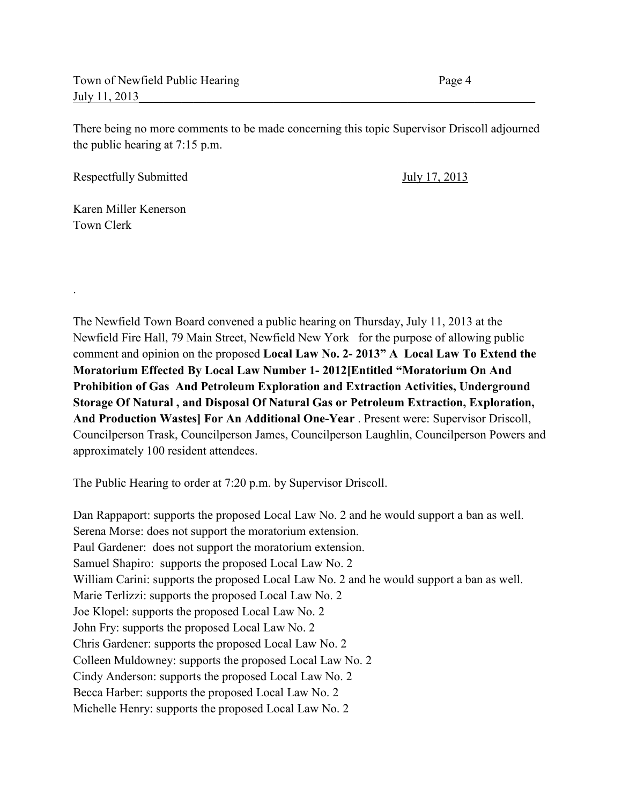There being no more comments to be made concerning this topic Supervisor Driscoll adjourned the public hearing at 7:15 p.m.

Respectfully Submitted July 17, 2013

Karen Miller Kenerson Town Clerk

.

The Newfield Town Board convened a public hearing on Thursday, July 11, 2013 at the Newfield Fire Hall, 79 Main Street, Newfield New York for the purpose of allowing public comment and opinion on the proposed **Local Law No. 2- 2013" A Local Law To Extend the Moratorium Effected By Local Law Number 1- 2012[Entitled "Moratorium On And Prohibition of Gas And Petroleum Exploration and Extraction Activities, Underground Storage Of Natural , and Disposal Of Natural Gas or Petroleum Extraction, Exploration, And Production Wastes] For An Additional One-Year** . Present were: Supervisor Driscoll, Councilperson Trask, Councilperson James, Councilperson Laughlin, Councilperson Powers and approximately 100 resident attendees.

The Public Hearing to order at 7:20 p.m. by Supervisor Driscoll.

Dan Rappaport: supports the proposed Local Law No. 2 and he would support a ban as well. Serena Morse: does not support the moratorium extension. Paul Gardener: does not support the moratorium extension. Samuel Shapiro: supports the proposed Local Law No. 2 William Carini: supports the proposed Local Law No. 2 and he would support a ban as well. Marie Terlizzi: supports the proposed Local Law No. 2 Joe Klopel: supports the proposed Local Law No. 2 John Fry: supports the proposed Local Law No. 2 Chris Gardener: supports the proposed Local Law No. 2 Colleen Muldowney: supports the proposed Local Law No. 2 Cindy Anderson: supports the proposed Local Law No. 2 Becca Harber: supports the proposed Local Law No. 2 Michelle Henry: supports the proposed Local Law No. 2